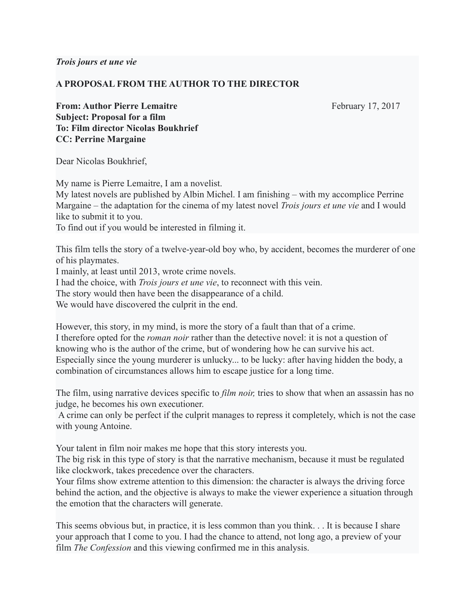*Trois jours et une vie*

## **A PROPOSAL FROM THE AUTHOR TO THE DIRECTOR**

**From: Author Pierre Lemaitre** February 17, 2017 **Subject: Proposal for a film To: Film director Nicolas Boukhrief CC: Perrine Margaine**

Dear Nicolas Boukhrief,

My name is Pierre Lemaitre, I am a novelist. My latest novels are published by Albin Michel. I am finishing – with my accomplice Perrine Margaine – the adaptation for the cinema of my latest novel *Trois jours et une vie* and I would like to submit it to you.

To find out if you would be interested in filming it.

This film tells the story of a twelve-year-old boy who, by accident, becomes the murderer of one of his playmates.

I mainly, at least until 2013, wrote crime novels.

I had the choice, with *Trois jours et une vie*, to reconnect with this vein.

The story would then have been the disappearance of a child.

We would have discovered the culprit in the end.

However, this story, in my mind, is more the story of a fault than that of a crime. I therefore opted for the *roman noir* rather than the detective novel: it is not a question of knowing who is the author of the crime, but of wondering how he can survive his act. Especially since the young murderer is unlucky... to be lucky: after having hidden the body, a combination of circumstances allows him to escape justice for a long time.

The film, using narrative devices specific to *film noir,* tries to show that when an assassin has no judge, he becomes his own executioner.

A crime can only be perfect if the culprit manages to repress it completely, which is not the case with young Antoine.

Your talent in film noir makes me hope that this story interests you.

The big risk in this type of story is that the narrative mechanism, because it must be regulated like clockwork, takes precedence over the characters.

Your films show extreme attention to this dimension: the character is always the driving force behind the action, and the objective is always to make the viewer experience a situation through the emotion that the characters will generate.

This seems obvious but, in practice, it is less common than you think. . . It is because I share your approach that I come to you. I had the chance to attend, not long ago, a preview of your film *The Confession* and this viewing confirmed me in this analysis.